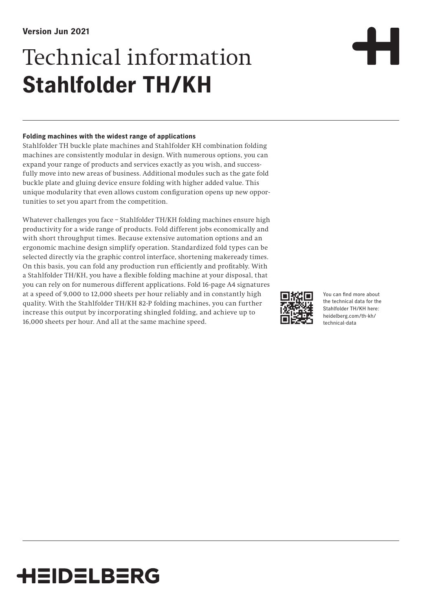# Technical information **Stahlfolder TH/KH**

#### **Folding machines with the widest range of applications**

Stahlfolder TH buckle plate machines and Stahlfolder KH combination folding machines are consistently modular in design. With numerous options, you can expand your range of products and services exactly as you wish, and successfully move into new areas of business. Additional modules such as the gate fold buckle plate and gluing device ensure folding with higher added value. This unique modularity that even allows custom configuration opens up new opportunities to set you apart from the competition.

Whatever challenges you face – Stahlfolder TH/KH folding machines ensure high productivity for a wide range of products. Fold different jobs economically and with short throughput times. Because extensive automation options and an ergonomic machine design simplify operation. Standardized fold types can be selected directly via the graphic control interface, shortening makeready times. On this basis, you can fold any production run efficiently and profitably. With a Stahlfolder TH/KH, you have a flexible folding machine at your disposal, that you can rely on for numerous different applications. Fold 16-page A4 signatures at a speed of 9,000 to 12,000 sheets per hour reliably and in constantly high quality. With the Stahlfolder TH/KH 82-P folding machines, you can further increase this output by incorporating shingled folding, and achieve up to 16,000 sheets per hour. And all at the same machine speed.



You can find more about the technical data for the Stahlfolder TH/KH here: heidelberg.com/th-kh/ technical-data

## **HEIDELBERG**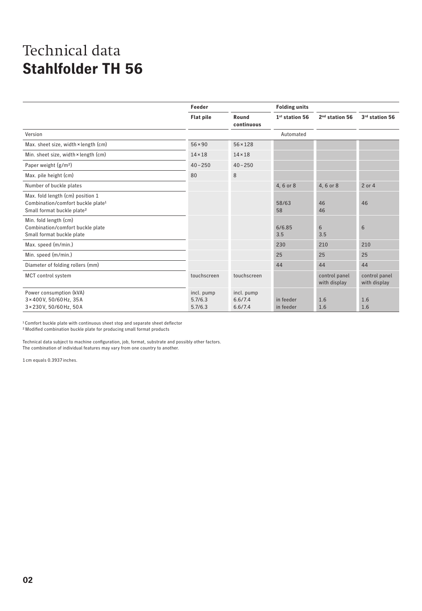|                                                                                                                             | Feeder                           |                                  | <b>Folding units</b>       |                               |                               |
|-----------------------------------------------------------------------------------------------------------------------------|----------------------------------|----------------------------------|----------------------------|-------------------------------|-------------------------------|
|                                                                                                                             | <b>Flat pile</b>                 | Round<br>continuous              | 1 <sup>st</sup> station 56 | 2 <sup>nd</sup> station 56    | 3rd station 56                |
| Version                                                                                                                     |                                  |                                  | Automated                  |                               |                               |
| Max. sheet size, width $\times$ length (cm)                                                                                 | $56 \times 90$                   | $56 \times 128$                  |                            |                               |                               |
| Min. sheet size, width × length (cm)                                                                                        | $14 \times 18$                   | $14 \times 18$                   |                            |                               |                               |
| Paper weight $(g/m2)$                                                                                                       | $40 - 250$                       | $40 - 250$                       |                            |                               |                               |
| Max. pile height (cm)                                                                                                       | 80                               | 8                                |                            |                               |                               |
| Number of buckle plates                                                                                                     |                                  |                                  | 4, 6 or 8                  | 4, 6 or 8                     | 2 or 4                        |
| Max. fold length (cm) position 1<br>Combination/comfort buckle plate <sup>1</sup><br>Small format buckle plate <sup>2</sup> |                                  |                                  | 58/63<br>58                | 46<br>46                      | 46                            |
| Min. fold length (cm)<br>Combination/comfort buckle plate<br>Small format buckle plate                                      |                                  |                                  | 6/6.85<br>3.5              | 6<br>3.5                      | 6                             |
| Max. speed (m/min.)                                                                                                         |                                  |                                  | 230                        | 210                           | 210                           |
| Min. speed (m/min.)                                                                                                         |                                  |                                  | 25                         | 25                            | 25                            |
| Diameter of folding rollers (mm)                                                                                            |                                  |                                  | 44                         | 44                            | 44                            |
| MCT control system                                                                                                          | touchscreen                      | touchscreen                      |                            | control panel<br>with display | control panel<br>with display |
| Power consumption (kVA)<br>3×400V, 50/60Hz, 35A<br>3×230V, 50/60Hz, 50A                                                     | incl. pump<br>5.7/6.3<br>5.7/6.3 | incl. pump<br>6.6/7.4<br>6.6/7.4 | in feeder<br>in feeder     | 1.6<br>1.6                    | 1.6<br>1.6                    |

1 Comfort buckle plate with continuous sheet stop and separate sheet deflector

2Modified combination buckle plate for producing small format products

Technical data subject to machine configuration, job, format, substrate and possibly other factors. The combination of individual features may vary from one country to another.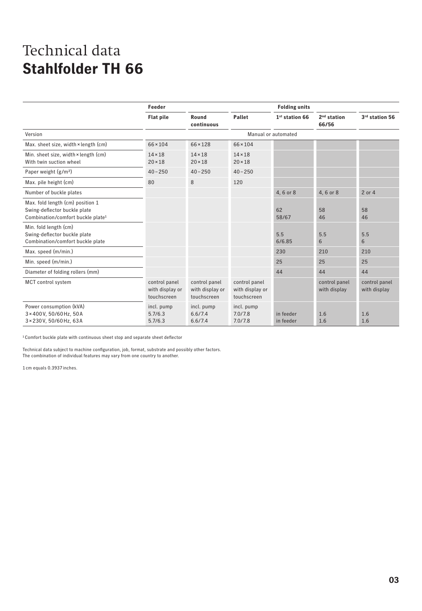|                                                                                                                   | Feeder                                          |                                                 |                                                 | <b>Folding units</b>   |                               |                               |
|-------------------------------------------------------------------------------------------------------------------|-------------------------------------------------|-------------------------------------------------|-------------------------------------------------|------------------------|-------------------------------|-------------------------------|
|                                                                                                                   | <b>Flat pile</b>                                | Round<br>continuous                             | Pallet                                          | $1st$ station 66       | $2nd$ station<br>66/56        | 3rd station 56                |
| Version                                                                                                           |                                                 |                                                 |                                                 | Manual or automated    |                               |                               |
| Max. sheet size, width × length (cm)                                                                              | $66 \times 104$                                 | $66 \times 128$                                 | $66 \times 104$                                 |                        |                               |                               |
| Min. sheet size, width × length (cm)<br>With twin suction wheel                                                   | $14 \times 18$<br>$20 \times 18$                | $14 \times 18$<br>$20 \times 18$                | $14 \times 18$<br>$20 \times 18$                |                        |                               |                               |
| Paper weight $(g/m2)$                                                                                             | $40 - 250$                                      | $40 - 250$                                      | $40 - 250$                                      |                        |                               |                               |
| Max. pile height (cm)                                                                                             | 80                                              | 8                                               | 120                                             |                        |                               |                               |
| Number of buckle plates                                                                                           |                                                 |                                                 |                                                 | 4, 6 or 8              | 4, 6 or 8                     | 2 or 4                        |
| Max. fold length (cm) position 1<br>Swing-deflector buckle plate<br>Combination/comfort buckle plate <sup>1</sup> |                                                 |                                                 |                                                 | 62<br>58/67            | 58<br>46                      | 58<br>46                      |
| Min. fold length (cm)<br>Swing-deflector buckle plate<br>Combination/comfort buckle plate                         |                                                 |                                                 |                                                 | 5.5<br>6/6.85          | 5.5<br>6                      | 5.5<br>6                      |
| Max. speed (m/min.)                                                                                               |                                                 |                                                 |                                                 | 230                    | 210                           | 210                           |
| Min. speed (m/min.)                                                                                               |                                                 |                                                 |                                                 | 25                     | 25                            | 25                            |
| Diameter of folding rollers (mm)                                                                                  |                                                 |                                                 |                                                 | 44                     | 44                            | 44                            |
| MCT control system                                                                                                | control panel<br>with display or<br>touchscreen | control panel<br>with display or<br>touchscreen | control panel<br>with display or<br>touchscreen |                        | control panel<br>with display | control panel<br>with display |
| Power consumption (kVA)<br>3×400V, 50/60Hz, 50A<br>3 × 230 V, 50/60 Hz, 63A                                       | incl. pump<br>5.7/6.3<br>5.7/6.3                | incl. pump<br>6.6/7.4<br>6.6/7.4                | incl. pump<br>7.0/7.8<br>7.0/7.8                | in feeder<br>in feeder | 1.6<br>1.6                    | 1.6<br>1.6                    |

 $^{\rm 1}$  Comfort buckle plate with continuous sheet stop and separate sheet deflector

Technical data subject to machine configuration, job, format, substrate and possibly other factors. The combination of individual features may vary from one country to another.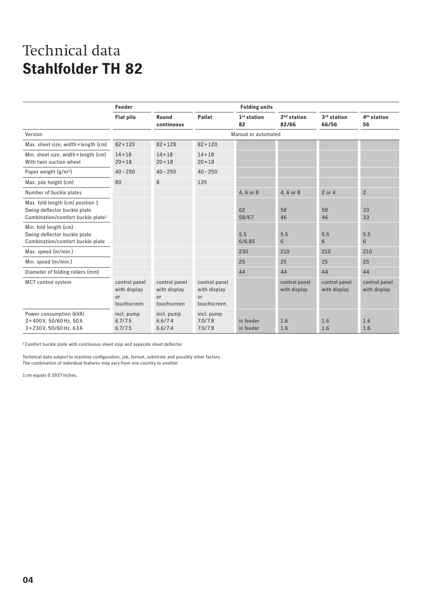|                                                                                                                   | Feeder<br><b>Folding units</b>                     |                                                               |                                                    |                        |                               |                               |                               |
|-------------------------------------------------------------------------------------------------------------------|----------------------------------------------------|---------------------------------------------------------------|----------------------------------------------------|------------------------|-------------------------------|-------------------------------|-------------------------------|
|                                                                                                                   | <b>Flat pile</b>                                   | Round<br>continuous                                           | <b>Pallet</b>                                      | $1st$ station<br>82    | $2nd$ station<br>82/66        | 3rd station<br>66/56          | 4 <sup>th</sup> station<br>56 |
| Version                                                                                                           |                                                    |                                                               |                                                    | Manual or automated    |                               |                               |                               |
| Max. sheet size, width × length (cm)                                                                              | $82 \times 120$                                    | $82 \times 128$                                               | $82 \times 120$                                    |                        |                               |                               |                               |
| Min. sheet size, width × length (cm)<br>With twin suction wheel                                                   | $14 \times 18$<br>$20 \times 18$                   | $14 \times 18$<br>$20 \times 18$                              | $14 \times 18$<br>$20 \times 18$                   |                        |                               |                               |                               |
| Paper weight $(g/m2)$                                                                                             | $40 - 250$                                         | $40 - 250$                                                    | $40 - 250$                                         |                        |                               |                               |                               |
| Max. pile height (cm)                                                                                             | 80                                                 | 8                                                             | 120                                                |                        |                               |                               |                               |
| Number of buckle plates                                                                                           |                                                    |                                                               |                                                    | 4, 6 or 8              | 4, 6 or 8                     | 2 or 4                        | $\overline{c}$                |
| Max. fold length (cm) position 1<br>Swing-deflector buckle plate<br>Combination/comfort buckle plate <sup>1</sup> |                                                    |                                                               |                                                    | 62<br>58/67            | 58<br>46                      | 58<br>46                      | 33<br>33                      |
| Min. fold length (cm)<br>Swing-deflector buckle plate<br>Combination/comfort buckle plate                         |                                                    |                                                               |                                                    | 5.5<br>6/6.85          | 5.5<br>6                      | 5.5<br>6                      | 5.5<br>6                      |
| Max. speed (m/min.)                                                                                               |                                                    |                                                               |                                                    | 230                    | 210                           | 210                           | 210                           |
| Min. speed (m/min.)                                                                                               |                                                    |                                                               |                                                    | 25                     | 25                            | 25                            | 25                            |
| Diameter of folding rollers (mm)                                                                                  |                                                    |                                                               |                                                    | 44                     | 44                            | 44                            | 44                            |
| MCT control system                                                                                                | control panel<br>with display<br>or<br>touchscreen | control panel<br>with display<br><sub>or</sub><br>touchscreen | control panel<br>with display<br>or<br>touchscreen |                        | control panel<br>with display | control panel<br>with display | control panel<br>with display |
| Power consumption (kVA)<br>3×400V, 50/60Hz, 50A<br>3×230V.50/60Hz.63A                                             | incl. pump<br>6.7/7.5<br>6.7/7.5                   | incl. pump<br>6.6/7.4<br>6.6/7.4                              | incl. pump<br>7.0/7.8<br>7.0/7.8                   | in feeder<br>in feeder | 1.6<br>1.6                    | 1.6<br>1.6                    | 1.6<br>1.6                    |

1Comfort buckle plate with continuous sheet stop and separate sheet deflector

Technical data subject to machine configuration, job, format, substrate and possibly other factors. The combination of individual features may vary from one country to another.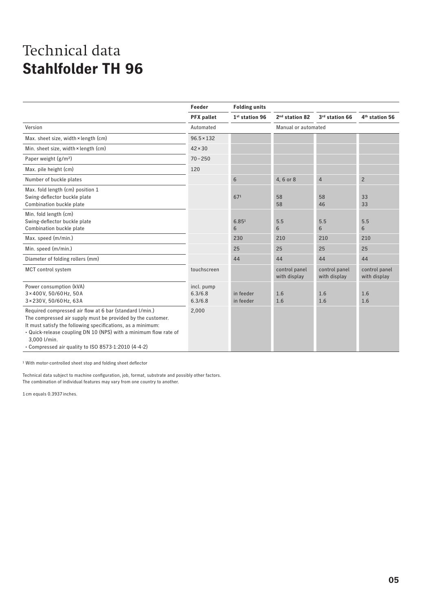|                                                                                                                                                                                                                                                                                                                                  | Feeder                           | <b>Folding units</b>       |                               |                               |                               |
|----------------------------------------------------------------------------------------------------------------------------------------------------------------------------------------------------------------------------------------------------------------------------------------------------------------------------------|----------------------------------|----------------------------|-------------------------------|-------------------------------|-------------------------------|
|                                                                                                                                                                                                                                                                                                                                  | <b>PFX</b> pallet                | 1 <sup>st</sup> station 96 | 2 <sup>nd</sup> station 82    | 3rd station 66                | 4 <sup>th</sup> station 56    |
| Version                                                                                                                                                                                                                                                                                                                          | Automated                        |                            | Manual or automated           |                               |                               |
| Max. sheet size, width × length (cm)                                                                                                                                                                                                                                                                                             | $96.5 \times 132$                |                            |                               |                               |                               |
| Min. sheet size, width × length (cm)                                                                                                                                                                                                                                                                                             | $42 \times 30$                   |                            |                               |                               |                               |
| Paper weight $(g/m2)$                                                                                                                                                                                                                                                                                                            | $70 - 250$                       |                            |                               |                               |                               |
| Max. pile height (cm)                                                                                                                                                                                                                                                                                                            | 120                              |                            |                               |                               |                               |
| Number of buckle plates                                                                                                                                                                                                                                                                                                          |                                  | 6                          | 4, 6 or 8                     | $\overline{4}$                | $\overline{c}$                |
| Max. fold length (cm) position 1<br>Swing-deflector buckle plate<br>Combination buckle plate                                                                                                                                                                                                                                     |                                  | 671                        | 58<br>58                      | 58<br>46                      | 33<br>33                      |
| Min. fold length (cm)<br>Swing-deflector buckle plate<br>Combination buckle plate                                                                                                                                                                                                                                                |                                  | 6.85 <sup>1</sup><br>6     | 5.5<br>6                      | 5.5<br>6                      | 5.5<br>6                      |
| Max. speed (m/min.)                                                                                                                                                                                                                                                                                                              |                                  | 230                        | 210                           | 210                           | 210                           |
| Min. speed (m/min.)                                                                                                                                                                                                                                                                                                              |                                  | 25                         | 25                            | 25                            | 25                            |
| Diameter of folding rollers (mm)                                                                                                                                                                                                                                                                                                 |                                  | 44                         | 44                            | 44                            | 44                            |
| MCT control system                                                                                                                                                                                                                                                                                                               | touchscreen                      |                            | control panel<br>with display | control panel<br>with display | control panel<br>with display |
| Power consumption (kVA)<br>3×400V, 50/60Hz, 50A<br>3 × 230 V, 50/60 Hz, 63A                                                                                                                                                                                                                                                      | incl. pump<br>6.3/6.8<br>6.3/6.8 | in feeder<br>in feeder     | 1.6<br>1.6                    | 1.6<br>1.6                    | 1.6<br>1.6                    |
| Required compressed air flow at 6 bar (standard I/min.)<br>The compressed air supply must be provided by the customer.<br>It must satisfy the following specifications, as a minimum:<br>. Quick-release coupling DN 10 (NPS) with a minimum flow rate of<br>3.000 l/min.<br>• Compressed air quality to ISO 8573-1:2010 (4-4-2) | 2,000                            |                            |                               |                               |                               |

1 With motor-controlled sheet stop and folding sheet deflector

Technical data subject to machine configuration, job, format, substrate and possibly other factors. The combination of individual features may vary from one country to another.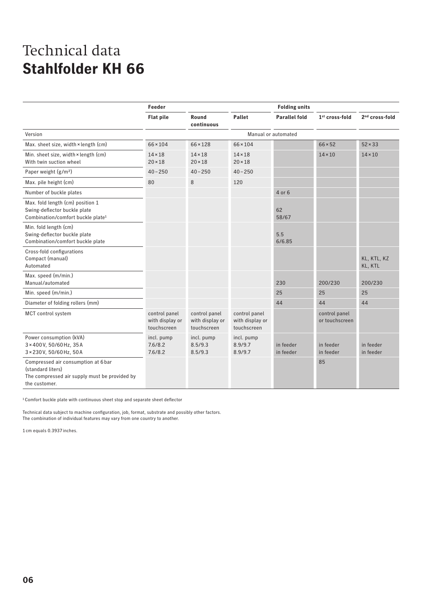|                                                                                                                            | Feeder                                          |                                                 |                                                 | <b>Folding units</b>   |                                 |                            |
|----------------------------------------------------------------------------------------------------------------------------|-------------------------------------------------|-------------------------------------------------|-------------------------------------------------|------------------------|---------------------------------|----------------------------|
|                                                                                                                            | <b>Flat pile</b>                                | Round<br>continuous                             | <b>Pallet</b>                                   | <b>Parallel fold</b>   | 1 <sup>st</sup> cross-fold      | 2 <sup>nd</sup> cross-fold |
| Version                                                                                                                    | Manual or automated                             |                                                 |                                                 |                        |                                 |                            |
| Max. sheet size, width × length (cm)                                                                                       | $66 \times 104$                                 | $66 \times 128$                                 | $66 \times 104$                                 |                        | $66 \times 52$                  | $52 \times 33$             |
| Min. sheet size, width × length (cm)<br>With twin suction wheel                                                            | $14 \times 18$<br>$20 \times 18$                | $14 \times 18$<br>$20 \times 18$                | $14 \times 18$<br>$20 \times 18$                |                        | $14 \times 10$                  | $14 \times 10$             |
| Paper weight (g/m <sup>2</sup> )                                                                                           | $40 - 250$                                      | $40 - 250$                                      | $40 - 250$                                      |                        |                                 |                            |
| Max. pile height (cm)                                                                                                      | 80                                              | 8                                               | 120                                             |                        |                                 |                            |
| Number of buckle plates                                                                                                    |                                                 |                                                 |                                                 | 4 or 6                 |                                 |                            |
| Max. fold length (cm) position 1<br>Swing-deflector buckle plate<br>Combination/comfort buckle plate <sup>1</sup>          |                                                 |                                                 |                                                 | 62<br>58/67            |                                 |                            |
| Min. fold length (cm)<br>Swing-deflector buckle plate<br>Combination/comfort buckle plate                                  |                                                 |                                                 |                                                 | 5.5<br>6/6.85          |                                 |                            |
| Cross-fold configurations<br>Compact (manual)<br>Automated                                                                 |                                                 |                                                 |                                                 |                        |                                 | KL, KTL, KZ<br>KL, KTL     |
| Max. speed (m/min.)<br>Manual/automated                                                                                    |                                                 |                                                 |                                                 | 230                    | 200/230                         | 200/230                    |
| Min. speed (m/min.)                                                                                                        |                                                 |                                                 |                                                 | 25                     | 25                              | 25                         |
| Diameter of folding rollers (mm)                                                                                           |                                                 |                                                 |                                                 | 44                     | 44                              | 44                         |
| MCT control system                                                                                                         | control panel<br>with display or<br>touchscreen | control panel<br>with display or<br>touchscreen | control panel<br>with display or<br>touchscreen |                        | control panel<br>or touchscreen |                            |
| Power consumption (kVA)<br>3×400V, 50/60Hz, 35A<br>3 × 230 V, 50/60 Hz, 50 A                                               | incl. pump<br>7.6/8.2<br>7.6/8.2                | incl. pump<br>8.5/9.3<br>8.5/9.3                | incl. pump<br>8.9/9.7<br>8.9/9.7                | in feeder<br>in feeder | in feeder<br>in feeder          | in feeder<br>in feeder     |
| Compressed air consumption at 6 bar<br>(standard liters)<br>The compressed air supply must be provided by<br>the customer. |                                                 |                                                 |                                                 |                        | 85                              |                            |

1 Comfort buckle plate with continuous sheet stop and separate sheet deflector

Technical data subject to machine configuration, job, format, substrate and possibly other factors. The combination of individual features may vary from one country to another.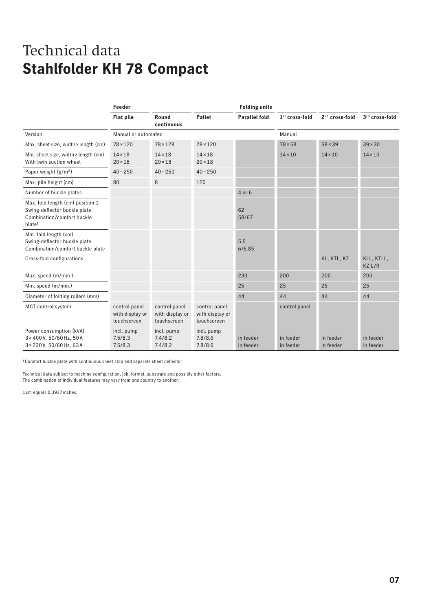#### Technical data **Stahlfolder KH 78 Compact**

|                                                                                                                      | Feeder                                          |                                                 |                                                 | <b>Folding units</b>   |                            |                            |                        |
|----------------------------------------------------------------------------------------------------------------------|-------------------------------------------------|-------------------------------------------------|-------------------------------------------------|------------------------|----------------------------|----------------------------|------------------------|
|                                                                                                                      | <b>Flat pile</b>                                | Round<br>continuous                             | Pallet                                          | <b>Parallel fold</b>   | 1 <sup>st</sup> cross-fold | 2 <sup>nd</sup> cross-fold | 3rd cross-fold         |
| Version                                                                                                              | Manual or automated                             |                                                 |                                                 |                        | Manual                     |                            |                        |
| Max. sheet size, width × length (cm)                                                                                 | $78 \times 120$                                 | $78 \times 128$                                 | $78 \times 120$                                 |                        | $78 \times 58$             | $58 \times 39$             | $39 \times 30$         |
| Min. sheet size, width × length (cm)<br>With twin suction wheel                                                      | $14 \times 18$<br>$20 \times 18$                | $14 \times 18$<br>$20 \times 18$                | $14 \times 18$<br>$20 \times 18$                |                        | $14 \times 10$             | $14 \times 10$             | $14 \times 10$         |
| Paper weight $(g/m2)$                                                                                                | $40 - 250$                                      | $40 - 250$                                      | $40 - 250$                                      |                        |                            |                            |                        |
| Max. pile height (cm)                                                                                                | 80                                              | 8                                               | 120                                             |                        |                            |                            |                        |
| Number of buckle plates                                                                                              |                                                 |                                                 |                                                 | 4 or 6                 |                            |                            |                        |
| Max. fold length (cm) position 1<br>Swing-deflector buckle plate<br>Combination/comfort buckle<br>plate <sup>1</sup> |                                                 |                                                 |                                                 | 62<br>58/67            |                            |                            |                        |
| Min. fold length (cm)<br>Swing-deflector buckle plate<br>Combination/comfort buckle plate                            |                                                 |                                                 |                                                 | 5.5<br>6/6.85          |                            |                            |                        |
| Cross-fold configurations                                                                                            |                                                 |                                                 |                                                 |                        |                            | KL, KTL, KZ                | KLL, KTLL,<br>KZ L/R   |
| Max. speed (m/min.)                                                                                                  |                                                 |                                                 |                                                 | 230                    | 200                        | 200                        | 200                    |
| Min. speed (m/min.)                                                                                                  |                                                 |                                                 |                                                 | 25                     | 25                         | 25                         | 25                     |
| Diameter of folding rollers (mm)                                                                                     |                                                 |                                                 |                                                 | 44                     | 44                         | 44                         | 44                     |
| MCT control system                                                                                                   | control panel<br>with display or<br>touchscreen | control panel<br>with display or<br>touchscreen | control panel<br>with display or<br>touchscreen |                        | control panel              |                            |                        |
| Power consumption (kVA)<br>3×400V, 50/60Hz, 50A<br>3 × 230 V, 50/60 Hz, 63 A                                         | incl. pump<br>7.5/8.3<br>7.5/8.3                | incl. pump<br>7.4/8.2<br>7.4/8.2                | incl. pump<br>7.8/8.6<br>7.8/8.6                | in feeder<br>in feeder | in feeder<br>in feeder     | in feeder<br>in feeder     | in feeder<br>in feeder |

1 Comfort buckle plate with continuous sheet stop and separate sheet deflector

Technical data subject to machine configuration, job, format, substrate and possibly other factors. The combination of individual features may vary from one country to another.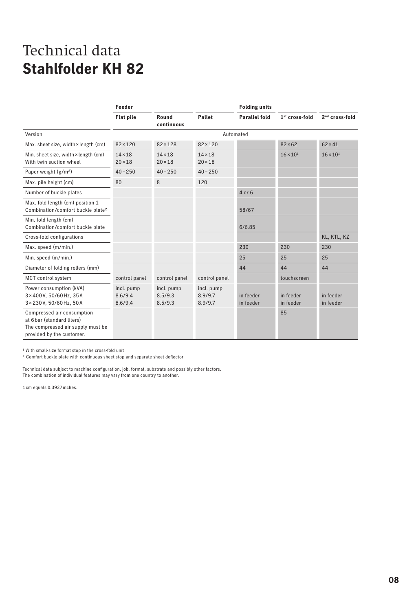|                                                                                                                            | Feeder                           |                                  |                                  | <b>Folding units</b>   |                            |                        |
|----------------------------------------------------------------------------------------------------------------------------|----------------------------------|----------------------------------|----------------------------------|------------------------|----------------------------|------------------------|
|                                                                                                                            | <b>Flat pile</b>                 | Round<br>continuous              | Pallet                           | <b>Parallel fold</b>   | 1 <sup>st</sup> cross-fold | $2nd cross-fold$       |
| Version                                                                                                                    |                                  |                                  |                                  | Automated              |                            |                        |
| Max. sheet size, width × length (cm)                                                                                       | $82 \times 120$                  | $82 \times 128$                  | $82 \times 120$                  |                        | $82 \times 62$             | $62 \times 41$         |
| Min. sheet size, width × length (cm)<br>With twin suction wheel                                                            | $14 \times 18$<br>$20 \times 18$ | $14 \times 18$<br>$20 \times 18$ | $14 \times 18$<br>$20 \times 18$ |                        | $16 \times 10^{1}$         | $16 \times 10^{1}$     |
| Paper weight $(g/m2)$                                                                                                      | $40 - 250$                       | $40 - 250$                       | $40 - 250$                       |                        |                            |                        |
| Max. pile height (cm)                                                                                                      | 80                               | 8                                | 120                              |                        |                            |                        |
| Number of buckle plates                                                                                                    |                                  |                                  |                                  | 4 or 6                 |                            |                        |
| Max. fold length (cm) position 1<br>Combination/comfort buckle plate <sup>2</sup>                                          |                                  |                                  |                                  | 58/67                  |                            |                        |
| Min. fold length (cm)<br>Combination/comfort buckle plate                                                                  |                                  |                                  |                                  | 6/6.85                 |                            |                        |
| Cross-fold configurations                                                                                                  |                                  |                                  |                                  |                        |                            | KL, KTL, KZ            |
| Max. speed (m/min.)                                                                                                        |                                  |                                  |                                  | 230                    | 230                        | 230                    |
| Min. speed (m/min.)                                                                                                        |                                  |                                  |                                  | 25                     | 25                         | 25                     |
| Diameter of folding rollers (mm)                                                                                           |                                  |                                  |                                  | 44                     | 44                         | 44                     |
| MCT control system                                                                                                         | control panel                    | control panel                    | control panel                    |                        | touchscreen                |                        |
| Power consumption (kVA)<br>3 × 400 V, 50/60 Hz, 35 A<br>3 × 230 V, 50/60 Hz, 50 A                                          | incl. pump<br>8.6/9.4<br>8.6/9.4 | incl. pump<br>8.5/9.3<br>8.5/9.3 | incl. pump<br>8.9/9.7<br>8.9/9.7 | in feeder<br>in feeder | in feeder<br>in feeder     | in feeder<br>in feeder |
| Compressed air consumption<br>at 6 bar (standard liters)<br>The compressed air supply must be<br>provided by the customer. |                                  |                                  |                                  |                        | 85                         |                        |

1 With small-size format stop in the cross-fold unit

2 Comfort buckle plate with continuous sheet stop and separate sheet deflector

Technical data subject to machine configuration, job, format, substrate and possibly other factors. The combination of individual features may vary from one country to another.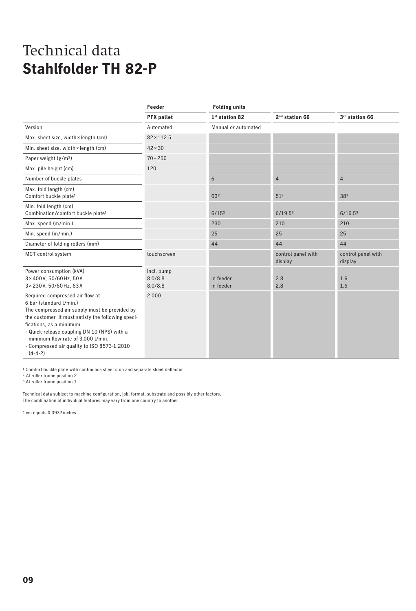|                                                                                                                                                                                                                                                                                                                                               | Feeder                           | <b>Folding units</b>       |                               |                               |
|-----------------------------------------------------------------------------------------------------------------------------------------------------------------------------------------------------------------------------------------------------------------------------------------------------------------------------------------------|----------------------------------|----------------------------|-------------------------------|-------------------------------|
|                                                                                                                                                                                                                                                                                                                                               | <b>PFX</b> pallet                | 1 <sup>st</sup> station 82 | 2 <sup>nd</sup> station 66    | 3rd station 66                |
| Version                                                                                                                                                                                                                                                                                                                                       | Automated                        | Manual or automated        |                               |                               |
| Max. sheet size, width × length (cm)                                                                                                                                                                                                                                                                                                          | $82 \times 112.5$                |                            |                               |                               |
| Min. sheet size, width × length (cm)                                                                                                                                                                                                                                                                                                          | $42 \times 30$                   |                            |                               |                               |
| Paper weight (g/m <sup>2</sup> )                                                                                                                                                                                                                                                                                                              | $70 - 250$                       |                            |                               |                               |
| Max. pile height (cm)                                                                                                                                                                                                                                                                                                                         | 120                              |                            |                               |                               |
| Number of buckle plates                                                                                                                                                                                                                                                                                                                       |                                  | 6                          | $\overline{4}$                | 4                             |
| Max. fold length (cm)<br>Comfort buckle plate <sup>1</sup>                                                                                                                                                                                                                                                                                    |                                  | 632                        | 51 <sup>3</sup>               | 383                           |
| Min. fold length (cm)<br>Combination/comfort buckle plate <sup>1</sup>                                                                                                                                                                                                                                                                        |                                  | 6/15 <sup>2</sup>          | 6/19.5 <sup>3</sup>           | 6/16.5 <sup>3</sup>           |
| Max. speed (m/min.)                                                                                                                                                                                                                                                                                                                           |                                  | 230                        | 210                           | 210                           |
| Min. speed (m/min.)                                                                                                                                                                                                                                                                                                                           |                                  | 25                         | 25                            | 25                            |
| Diameter of folding rollers (mm)                                                                                                                                                                                                                                                                                                              |                                  | 44                         | 44                            | 44                            |
| MCT control system                                                                                                                                                                                                                                                                                                                            | touchscreen                      |                            | control panel with<br>display | control panel with<br>display |
| Power consumption (kVA)<br>3×400V, 50/60Hz, 50A<br>3 × 230 V, 50/60 Hz, 63A                                                                                                                                                                                                                                                                   | incl. pump<br>8.0/8.8<br>8.0/8.8 | in feeder<br>in feeder     | 2.8<br>2.8                    | 1.6<br>1.6                    |
| Required compressed air flow at<br>6 bar (standard l/min.)<br>The compressed air supply must be provided by<br>the customer. It must satisfy the following speci-<br>fications, as a minimum:<br>· Quick-release coupling DN 10 (NPS) with a<br>minimum flow rate of 3,000 l/min.<br>• Compressed air quality to ISO 8573-1:2010<br>$(4-4-2)$ | 2,000                            |                            |                               |                               |

<sup>1</sup> Comfort buckle plate with continuous sheet stop and separate sheet deflector

2 At roller frame position 2

<sup>3</sup> At roller frame position 1

Technical data subject to machine configuration, job, format, substrate and possibly other factors. The combination of individual features may vary from one country to another.